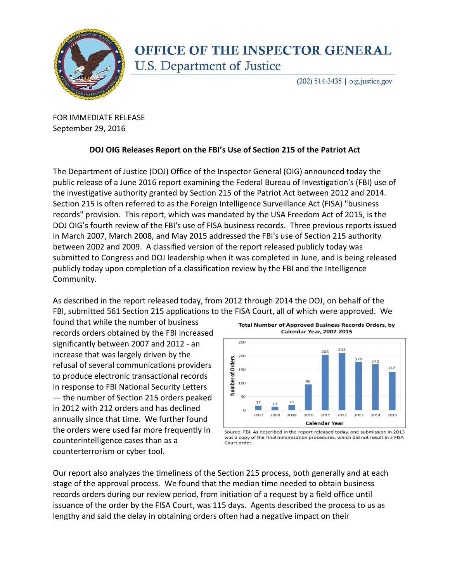

## **OFFICE OF THE INSPECTOR GENERAL** U.S. Department of Justice

(202) 514-3435 | oig.justice.gov

FOR IMMEDIATE RELEASE September 29, 2016

## **DOJ OIG Releases Report on the FBI's Use of Section 215 of the Patriot Act**

The Department of Justice (DOJ) Office of the Inspector General (OIG) announced today the public release of a June 2016 report examining the Federal Bureau of Investigation's (FBI) use of the investigative authority granted by Section 215 of the Patriot Act between 2012 and 2014. Section 215 is often referred to as the Foreign Intelligence Surveillance Act (FISA) "business records" provision. This report, which was mandated by the USA Freedom Act of 2015, is the DOJ OIG's fourth review of the FBI's use of FISA business records. Three previous reports issued in March 2007, March 2008, and May 2015 addressed the FBI's use of Section 215 authority between 2002 and 2009. A classified version of the report released publicly today was submitted to Congress and DOJ leadership when it was completed in June, and is being released publicly today upon completion of a classification review by the FBI and the Intelligence Community.

As described in the report released today, from 2012 through 2014 the DOJ, on behalf of the FBI, submitted 561 Section 215 applications to the FISA Court, all of which were approved. We

found that while the number of business records orders obtained by the FBI increased significantly between 2007 and 2012 - an increase that was largely driven by the refusal of several communications providers to produce electronic transactional records in response to FBI National Security Letters — the number of Section 215 orders peaked in 2012 with 212 orders and has declined annually since that time. We further found the orders were used far more frequently in counterintelligence cases than as a counterterrorism or cyber tool.



Source: FBI. As described in the report released today, one submission in 2013 was a copy of the final minimization procedures, which did not result in a FISA Court order.

Our report also analyzes the timeliness of the Section 215 process, both generally and at each stage of the approval process. We found that the median time needed to obtain business records orders during our review period, from initiation of a request by a field office until issuance of the order by the FISA Court, was 115 days. Agents described the process to us as lengthy and said the delay in obtaining orders often had a negative impact on their